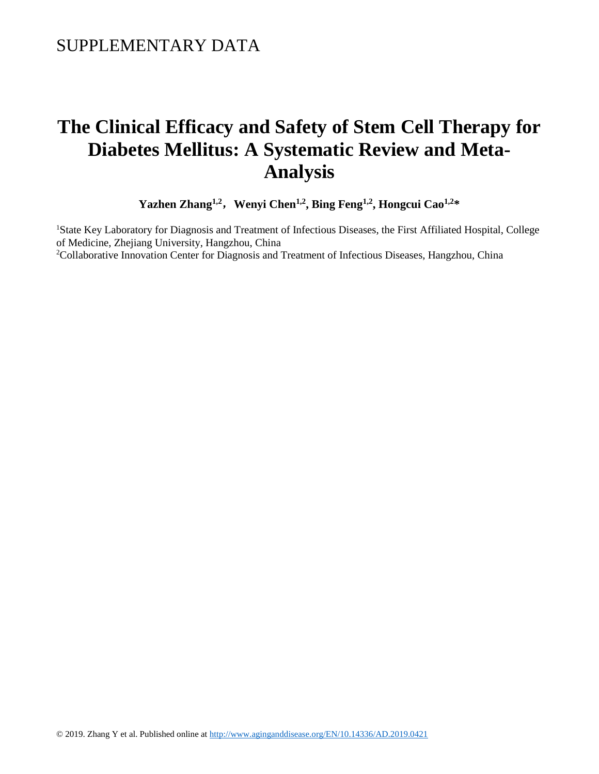# **The Clinical Efficacy and Safety of Stem Cell Therapy for Diabetes Mellitus: A Systematic Review and Meta-Analysis**

**Yazhen Zhang1,2**,**Wenyi Chen1,2, Bing Feng1,2, Hongcui Cao1,2\***

<sup>1</sup>State Key Laboratory for Diagnosis and Treatment of Infectious Diseases, the First Affiliated Hospital, College of Medicine, Zhejiang University, Hangzhou, China <sup>2</sup>Collaborative Innovation Center for Diagnosis and Treatment of Infectious Diseases, Hangzhou, China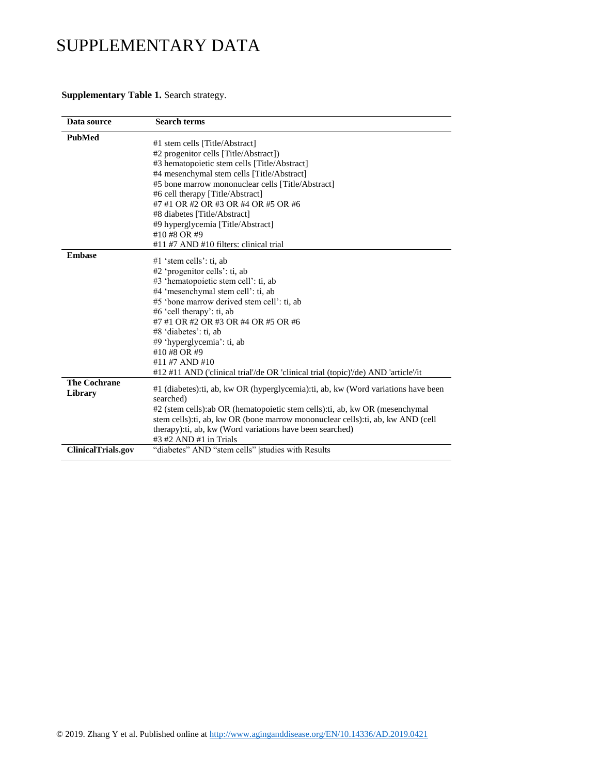#### **Supplementary Table 1.** Search strategy.

| Data source               | <b>Search terms</b>                                                                 |
|---------------------------|-------------------------------------------------------------------------------------|
| <b>PubMed</b>             | #1 stem cells [Title/Abstract]                                                      |
|                           | #2 progenitor cells [Title/Abstract])                                               |
|                           | #3 hematopoietic stem cells [Title/Abstract]                                        |
|                           | #4 mesenchymal stem cells [Title/Abstract]                                          |
|                           | #5 bone marrow mononuclear cells [Title/Abstract]                                   |
|                           | #6 cell therapy [Title/Abstract]                                                    |
|                           | #7 #1 OR #2 OR #3 OR #4 OR #5 OR #6                                                 |
|                           | #8 diabetes [Title/Abstract]                                                        |
|                           | #9 hyperglycemia [Title/Abstract]                                                   |
|                           | #10 #8 OR #9                                                                        |
|                           | #11 #7 AND #10 filters: clinical trial                                              |
| <b>Embase</b>             |                                                                                     |
|                           | #1 'stem cells': ti, ab                                                             |
|                           | #2 'progenitor cells': ti, ab                                                       |
|                           | #3 'hematopoietic stem cell': ti, ab                                                |
|                           | #4 'mesenchymal stem cell': ti, ab                                                  |
|                           | #5 'bone marrow derived stem cell': ti, ab                                          |
|                           | #6 'cell therapy': ti, ab                                                           |
|                           | #7 #1 OR #2 OR #3 OR #4 OR #5 OR #6                                                 |
|                           | #8 'diabetes': ti, ab                                                               |
|                           | #9 'hyperglycemia': ti, ab                                                          |
|                           | #10 #8 OR #9                                                                        |
|                           | #11 #7 AND #10                                                                      |
|                           | #12 #11 AND ('clinical trial'/de OR 'clinical trial (topic)'/de) AND 'article'/it   |
| <b>The Cochrane</b>       |                                                                                     |
| Library                   | #1 (diabetes): ti, ab, kw OR (hyperglycemia): ti, ab, kw (Word variations have been |
|                           | searched)                                                                           |
|                           | #2 (stem cells): ab OR (hematopoietic stem cells): ti, ab, kw OR (mesenchymal       |
|                           | stem cells): ti, ab, kw OR (bone marrow mononuclear cells): ti, ab, kw AND (cell    |
|                           | therapy): ti, ab, kw (Word variations have been searched)                           |
|                           | $#3 #2$ AND $#1$ in Trials                                                          |
| <b>ClinicalTrials.gov</b> | "diabetes" AND "stem cells"  studies with Results                                   |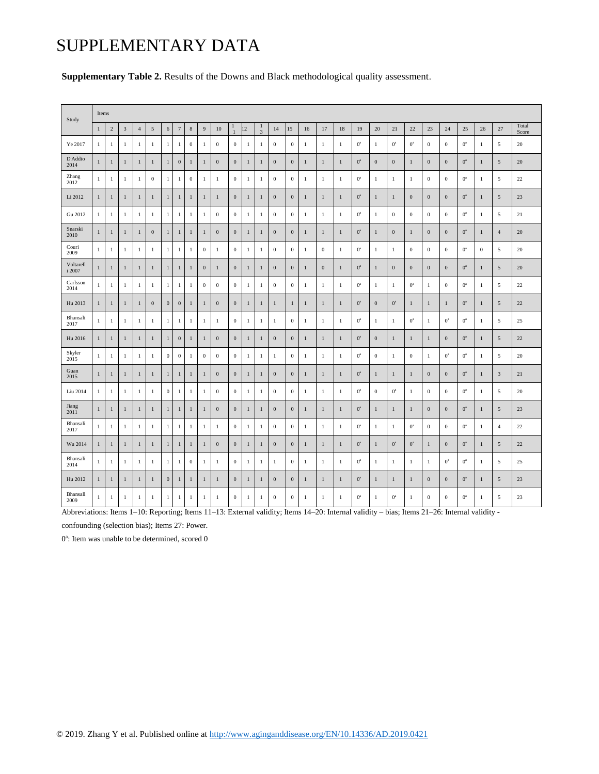|  |  |  | Supplementary Table 2. Results of the Downs and Black methodological quality assessment |  |
|--|--|--|-----------------------------------------------------------------------------------------|--|
|--|--|--|-----------------------------------------------------------------------------------------|--|

| Study               | Items        |                |              |              |              |                  |                  |              |                |                  |                   |              |                |                  |                  |              |                  |              |             |                  |                  |                  |                  |                  |             |              |                |                |
|---------------------|--------------|----------------|--------------|--------------|--------------|------------------|------------------|--------------|----------------|------------------|-------------------|--------------|----------------|------------------|------------------|--------------|------------------|--------------|-------------|------------------|------------------|------------------|------------------|------------------|-------------|--------------|----------------|----------------|
|                     | $\mathbf{1}$ | $\overline{c}$ | 3            | $\sqrt{4}$   | 5            | 6                | $\overline{7}$   | $\,$ 8 $\,$  | $\overline{9}$ | 10               | п<br>$\mathbf{1}$ | 12           | 1<br>3         | 14               | 15               | 16           | 17               | 18           | 19          | 20               | 21               | 22               | 23               | 24               | 25          | 26           | 27             | Total<br>Score |
| Ye 2017             | $\mathbf{1}$ | $\mathbf{1}$   | $\mathbf{1}$ | $\mathbf{1}$ | 1            | $\mathbf{1}$     | $\mathbf{1}$     | $\bf{0}$     | $\overline{1}$ | $\bf{0}$         | $\mathbf{0}$      | $\mathbf{1}$ | $\,1\,$        | $\mathbf{0}$     | $\mathbf{0}$     | $\mathbf{1}$ | $\mathbf{1}$     | -1           | $0^{\circ}$ | $\mathbf{1}$     | $0^{\circ}$      | $0^{\circ}$      | $\boldsymbol{0}$ | $\boldsymbol{0}$ | $0^{\rm a}$ | $\mathbf{1}$ | 5              | 20             |
| D'Addio<br>2014     | $\mathbf{1}$ | $\mathbf{1}$   | $\mathbf{1}$ | $\mathbf{1}$ | $\mathbf{1}$ | $\mathbf{1}$     | $\boldsymbol{0}$ | $\mathbf{1}$ | $\mathbf{1}$   | $\bf{0}$         | $\bf{0}$          | $\mathbf{1}$ | $\mathbf{1}$   | $\boldsymbol{0}$ | $\boldsymbol{0}$ | $\mathbf{1}$ | $\mathbf{1}$     | $\mathbf{1}$ | $0^{\circ}$ | $\boldsymbol{0}$ | $\boldsymbol{0}$ | $\mathbf{1}$     | $\boldsymbol{0}$ | $\boldsymbol{0}$ | $0^{\rm a}$ | $\mathbf{1}$ | $\sqrt{5}$     | 20             |
| Zhang<br>2012       | $\mathbf{1}$ | $\mathbf{1}$   | $\mathbf{1}$ | 1            | $\mathbf{0}$ | $\mathbf{1}$     | $\mathbf{1}$     | $\bf{0}$     | $\mathbf{1}$   | $\mathbf{1}$     | $\boldsymbol{0}$  | $\mathbf{1}$ | $\mathbf{1}$   | $\mathbf{0}$     | $\bf{0}$         | -1           | $\mathbf{1}$     | -1           | $0^a$       | $\mathbf{1}$     | $\mathbf{1}$     | $\mathbf{1}$     | $\mathbf{0}$     | $\boldsymbol{0}$ | $0^a$       | $\mathbf{1}$ | 5              | 22             |
| Li 2012             | $\mathbf{1}$ | $\mathbf{1}$   | $\mathbf{1}$ | $\mathbf{1}$ | 1            | $\mathbf{1}$     | 1                | $\mathbf{1}$ | $\mathbf{1}$   | $\mathbf{1}$     | $\mathbf{0}$      | $\mathbf{1}$ | $\mathbf{1}$   | $\mathbf{0}$     | $\mathbf{0}$     | $\mathbf{1}$ | $\mathbf{1}$     | $\mathbf{1}$ | $0^{\rm a}$ | $\mathbf{1}$     | $\mathbf{1}$     | $\mathbf{0}$     | $\boldsymbol{0}$ | $\mathbf{0}$     | $0^{\rm a}$ | $\mathbf{1}$ | $\overline{5}$ | 23             |
| Gu 2012             | $\mathbf{1}$ | $\mathbf{1}$   | $\mathbf{1}$ | 1            | 1            | $\mathbf{1}$     | $\mathbf{1}$     | $\mathbf{1}$ | $\mathbf{1}$   | $\bf{0}$         | $\mathbf{0}$      | $\mathbf{1}$ | $\overline{1}$ | $\overline{0}$   | $\mathbf{0}$     | -1           | $\mathbf{1}$     | -1           | $0^a$       | $\mathbf{1}$     | $\boldsymbol{0}$ | $\boldsymbol{0}$ | $\mathbf{0}$     | $\boldsymbol{0}$ | $0^a$       | 1            | 5              | 21             |
| Snarski<br>2010     | $\mathbf{1}$ | $\mathbf{1}$   | $\mathbf{1}$ | $\mathbf{1}$ | $\mathbf{0}$ | $\mathbf{1}$     | $\mathbf{1}$     | $\mathbf{1}$ | $\overline{1}$ | $\mathbf{0}$     | $\mathbf{0}$      | $\mathbf{1}$ | $\,1$          | $\mathbf{0}$     | $\mathbf{0}$     | $\,1\,$      | $\mathbf{1}$     | $\mathbf{1}$ | $0^{\circ}$ | $\mathbf{1}$     | $\boldsymbol{0}$ | $\mathbf{1}$     | $\boldsymbol{0}$ | $\boldsymbol{0}$ | $0^{\rm a}$ | $\mathbf{1}$ | $\overline{4}$ | 20             |
| Couri<br>2009       | $\mathbf{1}$ | 1              | 1            | $\mathbf{1}$ | 1            | $\mathbf{1}$     | $\mathbf{1}$     | $\mathbf{1}$ | $\bf{0}$       | $\mathbf{1}$     | $\boldsymbol{0}$  | $\mathbf{1}$ | $\mathbf{1}$   | $\mathbf{0}$     | $\bf{0}$         | -1           | $\boldsymbol{0}$ | -1           | $0^{\circ}$ | $\mathbf{1}$     | 1                | $\boldsymbol{0}$ | $\boldsymbol{0}$ | $\boldsymbol{0}$ | $0^{\rm a}$ | $\bf{0}$     | 5              | 20             |
| Voltarell<br>i 2007 | $\mathbf{1}$ | $\mathbf{1}$   | $\mathbf{1}$ | $\mathbf{1}$ | 1            | $\mathbf{1}$     | 1                | $\mathbf{1}$ | $\mathbf{0}$   | $\mathbf{1}$     | $\mathbf{0}$      | $\mathbf{1}$ | $\mathbf{1}$   | $\mathbf{0}$     | $\mathbf{0}$     | $\mathbf{1}$ | $\mathbf{0}$     | 1            | $0^{\rm a}$ | $\mathbf{1}$     | $\mathbf{0}$     | $\mathbf{0}$     | $\mathbf{0}$     | $\mathbf{0}$     | $0^{\rm a}$ | $\mathbf{1}$ | 5              | 20             |
| Carlsson<br>2014    | $\mathbf{1}$ | $\mathbf{1}$   | $\mathbf{1}$ | 1            | 1            | $\mathbf{1}$     | $\mathbf{1}$     | $\mathbf{1}$ | $\mathbf{0}$   | $\bf{0}$         | $\bf{0}$          | $\mathbf{1}$ | $\mathbf{1}$   | $\overline{0}$   | $\boldsymbol{0}$ | -1           | $\mathbf{1}$     | -1           | $0^a$       | 1                | $\mathbf{1}$     | $0^{\circ}$      | $\mathbf{1}$     | $\boldsymbol{0}$ | $0^{\rm a}$ | 1            | 5              | 22             |
| Hu 2013             | $\mathbf{1}$ | $\mathbf{1}$   | $\mathbf{1}$ | $\mathbf{1}$ | $\mathbf{0}$ | $\mathbf{0}$     | $\boldsymbol{0}$ | $\mathbf{1}$ | $\mathbf{1}$   | $\mathbf{0}$     | $\mathbf{0}$      | $\mathbf{1}$ | $\mathbf{1}$   | $\mathbf{1}$     | $\mathbf{1}$     | $\mathbf{1}$ | $\mathbf{1}$     | $\mathbf{1}$ | $0^a$       | $\boldsymbol{0}$ | $0^a$            | $\mathbf{1}$     | $\mathbf{1}$     | $\mathbf{1}$     | $0^a$       | $\mathbf{1}$ | $\sqrt{5}$     | 22             |
| Bhansali<br>2017    | $\mathbf{1}$ | $\mathbf{1}$   | $\mathbf{1}$ | $\mathbf{1}$ | $\mathbf{1}$ | $\mathbf{1}$     | $\mathbf{1}$     | $\mathbf{1}$ | $\mathbf{1}$   | $\mathbf{1}$     | $\mathbf{0}$      | $\mathbf{1}$ | $\mathbf{1}$   | $\mathbf{1}$     | $\mathbf{0}$     | $\mathbf{1}$ | $\mathbf{1}$     | $\mathbf{1}$ | $0^a$       | $\mathbf{1}$     | $\mathbf{1}$     | $0^a$            | $\mathbf{1}$     | $0^a$            | $0^a$       | $\mathbf{1}$ | 5              | 25             |
| Hu 2016             | $\mathbf{1}$ | $\mathbf{1}$   | $\mathbf{1}$ | $\mathbf{1}$ | $\mathbf{1}$ | $\mathbf{1}$     | $\boldsymbol{0}$ | $\mathbf{1}$ | $\mathbf{1}$   | $\bf{0}$         | $\bf{0}$          | $\mathbf{1}$ | $\mathbf{1}$   | $\bf{0}$         | $\boldsymbol{0}$ | $\mathbf{1}$ | $\mathbf{1}$     | $\mathbf{1}$ | $0^{\circ}$ | $\boldsymbol{0}$ | $\mathbf{1}$     | $\mathbf{1}$     | $\mathbf{1}$     | $\boldsymbol{0}$ | $0^{\rm a}$ | $\mathbf{1}$ | $\sqrt{5}$     | 22             |
| Skyler<br>2015      | 1            | $\mathbf{1}$   | 1            | 1            | 1            | $\boldsymbol{0}$ | $\bf{0}$         | $\mathbf{1}$ | $\mathbf{0}$   | $\boldsymbol{0}$ | $\bf{0}$          | $\mathbf{1}$ | $\mathbf{1}$   | -1               | $\bf{0}$         | -1           | -1               | -1           | $0^{\circ}$ | $\bf{0}$         | 1                | $\boldsymbol{0}$ | $\mathbf{1}$     | $0^{\circ}$      | $0^{\circ}$ | 1            | 5              | 20             |
| Guan<br>2015        | $\mathbf{1}$ | $\mathbf{1}$   | $\mathbf{1}$ | $\mathbf{1}$ | $\mathbf{1}$ | $\mathbf{1}$     | $\mathbf{1}$     | $\mathbf{1}$ | $\mathbf{1}$   | $\boldsymbol{0}$ | $\mathbf{0}$      | $\mathbf{1}$ | $\mathbf{1}$   | $\mathbf{0}$     | $\mathbf{0}$     | $\mathbf{1}$ | $\mathbf{1}$     | $\mathbf{1}$ | $0^{\circ}$ | $\mathbf{1}$     | $\mathbf{1}$     | $\mathbf{1}$     | $\boldsymbol{0}$ | $\boldsymbol{0}$ | $0^a$       | $\mathbf{1}$ | $\sqrt{3}$     | 21             |
| Liu 2014            | $\mathbf{1}$ | $\mathbf{1}$   | $\mathbf{1}$ | $\mathbf{1}$ | 1            | $\mathbf{0}$     | $\mathbf{1}$     | $\mathbf{1}$ | $1\,$          | $\boldsymbol{0}$ | $\bf{0}$          | $\,1\,$      | $\,1\,$        | $\mathbf{0}$     | $\bf{0}$         | $\mathbf{1}$ | $\mathbf{1}$     | -1           | $0^a$       | $\bf{0}$         | $0^{\rm a}$      | $\mathbf{1}$     | $\boldsymbol{0}$ | $\boldsymbol{0}$ | $0^{\rm a}$ | $\mathbf{1}$ | 5              | 20             |
| Jiang<br>2011       | $\mathbf{1}$ | $\mathbf{1}$   | $\mathbf{1}$ | $\mathbf{1}$ | 1            | $\mathbf{1}$     | $\mathbf{1}$     | $\mathbf{1}$ | $\mathbf{1}$   | $\mathbf{0}$     | $\mathbf{0}$      | $\mathbf{1}$ | $\mathbf{1}$   | $\mathbf{0}$     | $\mathbf{0}$     | $\mathbf{1}$ | $\mathbf{1}$     | $\mathbf{1}$ | $0^a$       | $\mathbf{1}$     | $\mathbf{1}$     | $\mathbf{1}$     | $\mathbf{0}$     | $\boldsymbol{0}$ | $0^{\rm a}$ | $\mathbf{1}$ | 5              | 23             |
| Bhansali<br>2017    | $\mathbf{1}$ | $\mathbf{1}$   | $\mathbf{1}$ | $\mathbf{1}$ | 1            | $1\,$            | $\mathbf{1}$     | $\mathbf{1}$ | $1\,$          | $\mathbf{1}$     | $\mathbf{0}$      | $1\,$        | $\mathbf{1}$   | $\mathbf{0}$     | $\mathbf{0}$     | $\mathbf{1}$ | $\mathbf{1}$     | -1           | $0^{\circ}$ | 1                | $\mathbf{1}$     | $0^{\circ}$      | $\boldsymbol{0}$ | $\boldsymbol{0}$ | $0^{\rm a}$ | 1            | $\overline{4}$ | 22             |
| Wu 2014             | $\mathbf{1}$ | $\mathbf{1}$   | $\mathbf{1}$ | 1            | $\mathbf{1}$ | $\mathbf{1}$     | 1                | $\mathbf{1}$ | $\mathbf{1}$   | $\bf{0}$         | $\bf{0}$          | $\mathbf{1}$ | $\mathbf{1}$   | $\mathbf{0}$     | $\boldsymbol{0}$ | $\mathbf{1}$ | $\mathbf{1}$     | $\mathbf{1}$ | $0^{\circ}$ | 1                | $0^a$            | $0^{\circ}$      | $\mathbf{1}$     | $\boldsymbol{0}$ | $0^{\rm a}$ | $\mathbf{1}$ | $\sqrt{5}$     | 22             |
| Bhansali<br>2014    | $\mathbf{1}$ | 1              | $\mathbf{1}$ | 1            | 1            | $\mathbf{1}$     | $\mathbf{1}$     | $\bf{0}$     | $\mathbf{1}$   | $\mathbf{1}$     | $\boldsymbol{0}$  | $\mathbf{1}$ | $\mathbf{1}$   | -1               | $\bf{0}$         | 1            | $\mathbf{1}$     | -1           | $0^a$       | $\mathbf{1}$     | $\mathbf{1}$     | $\mathbf{1}$     | $\mathbf{1}$     | $0^a$            | $0^a$       | $\mathbf{1}$ | 5              | 25             |
| Hu 2012             | $\mathbf{1}$ | $\mathbf{1}$   | $\mathbf{1}$ | $\mathbf{1}$ | $\mathbf{1}$ | $\mathbf{0}$     | 1                | $\mathbf{1}$ | $\mathbf{1}$   | $\mathbf{1}$     | $\mathbf{0}$      | $\mathbf{1}$ | $\mathbf{1}$   | $\mathbf{0}$     | $\mathbf{0}$     | $\mathbf{1}$ | $\mathbf{1}$     | $\mathbf{1}$ | $0^a$       | $\mathbf{1}$     | $\mathbf{1}$     | $\mathbf{1}$     | $\mathbf{0}$     | $\mathbf{0}$     | $0^{\rm a}$ | $\mathbf{1}$ | $\mathfrak{I}$ | 23             |
| Bhansali<br>2009    | $1\,$        | 1              | $\mathbf{1}$ | 1            | 1            | $\mathbf{1}$     | $\mathbf{1}$     | $\mathbf{1}$ | $\overline{1}$ | $\mathbf{1}$     | $\boldsymbol{0}$  | $1\,$        | $\mathbf{1}$   | $\overline{0}$   | $\mathbf{0}$     | -1           | 1                | -1           | $0^a$       | 1                | $0^a$            | 1                | $\boldsymbol{0}$ | $\boldsymbol{0}$ | $0^a$       | $\mathbf{1}$ | 5              | 23             |

Abbreviations: Items 1–10: Reporting; Items 11–13: External validity; Items 14–20: Internal validity – bias; Items 21–26: Internal validity -

confounding (selection bias); Items 27: Power.

0<sup>a</sup>: Item was unable to be determined, scored 0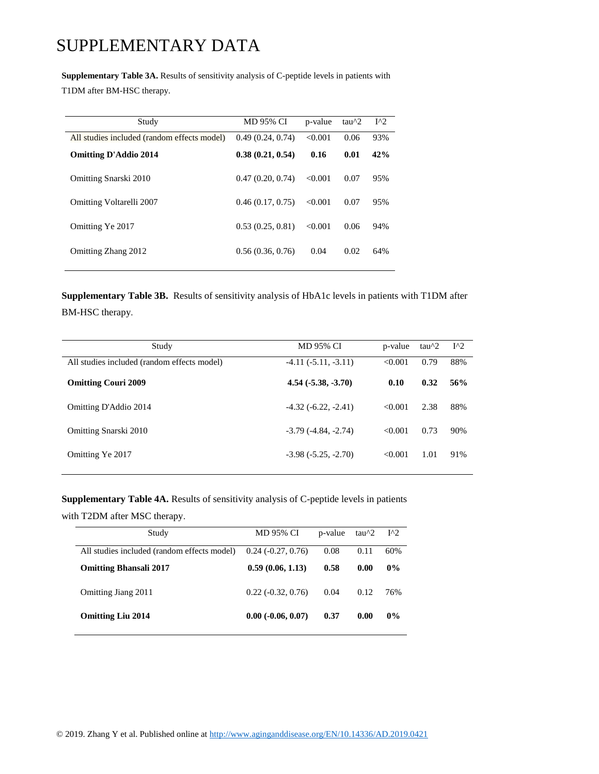**Supplementary Table 3A.** Results of sensitivity analysis of C-peptide levels in patients with T1DM after BM-HSC therapy.

| Study                                       | <b>MD 95% CI</b> | p-value | tau $\frac{1}{2}$ | $I^{\wedge}2$ |
|---------------------------------------------|------------------|---------|-------------------|---------------|
| All studies included (random effects model) | 0.49(0.24, 0.74) | < 0.001 | 0.06              | 93%           |
| <b>Omitting D'Addio 2014</b>                | 0.38(0.21, 0.54) | 0.16    | 0.01              | 42%           |
| Omitting Snarski 2010                       | 0.47(0.20, 0.74) | < 0.001 | 0.07              | 95%           |
| Omitting Voltarelli 2007                    | 0.46(0.17, 0.75) | < 0.001 | 0.07              | 95%           |
| Omitting Ye 2017                            | 0.53(0.25, 0.81) | < 0.001 | 0.06              | 94%           |
| Omitting Zhang 2012                         | 0.56(0.36, 0.76) | 0.04    | 0.02              | 64%           |

**Supplementary Table 3B.** Results of sensitivity analysis of HbA1c levels in patients with T1DM after BM-HSC therapy.

| Study                                       | <b>MD 95% CI</b>         | p-value | $tau^2$ | $I^{\wedge}2$ |
|---------------------------------------------|--------------------------|---------|---------|---------------|
| All studies included (random effects model) | $-4.11(-5.11, -3.11)$    | < 0.001 | 0.79    | 88%           |
| <b>Omitting Couri 2009</b>                  | $4.54(-5.38,-3.70)$      | 0.10    | 0.32    | 56%           |
| Omitting D'Addio 2014                       | $-4.32(-6.22, -2.41)$    | < 0.001 | 2.38    | 88%           |
| Omitting Snarski 2010                       | $-3.79$ $(-4.84, -2.74)$ | < 0.001 | 0.73    | 90%           |
| Omitting Ye 2017                            | $-3.98(-5.25, -2.70)$    | < 0.001 | 1.01    | 91%           |

**Supplementary Table 4A.** Results of sensitivity analysis of C-peptide levels in patients

with T2DM after MSC therapy.

| Study                                       | MD 95% CI                | p-value | tau $\gamma$ 2 | $I^{\wedge}2$ |
|---------------------------------------------|--------------------------|---------|----------------|---------------|
| All studies included (random effects model) | $0.24$ ( $-0.27, 0.76$ ) | 0.08    | 0.11           | 60%           |
| <b>Omitting Bhansali 2017</b>               | 0.59(0.06, 1.13)         | 0.58    | 0.00           | $0\%$         |
| Omitting Jiang 2011                         | $0.22(-0.32, 0.76)$      | 0.04    | 0.12           | 76%           |
| <b>Omitting Liu 2014</b>                    | $0.00 (-0.06, 0.07)$     | 0.37    | 0.00           | $0\%$         |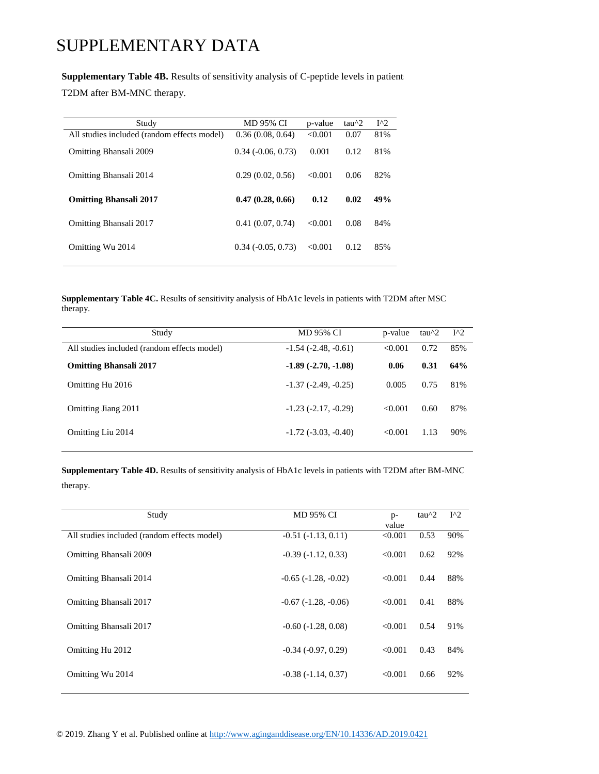#### **Supplementary Table 4B.** Results of sensitivity analysis of C-peptide levels in patient

T2DM after BM-MNC therapy.

| Study                                       | <b>MD 95% CI</b>            | p-value | $tau^2$ | $I^{\wedge}2$ |
|---------------------------------------------|-----------------------------|---------|---------|---------------|
| All studies included (random effects model) | 0.36(0.08, 0.64)            | < 0.001 | 0.07    | 81%           |
| <b>Omitting Bhansali 2009</b>               | $0.34$ ( $-0.06$ , $0.73$ ) | 0.001   | 0.12    | 81%           |
| Omitting Bhansali 2014                      | 0.29(0.02, 0.56)            | < 0.001 | 0.06    | 82%           |
| <b>Omitting Bhansali 2017</b>               | 0.47(0.28, 0.66)            | 0.12    | 0.02    | 49%           |
| Omitting Bhansali 2017                      | 0.41(0.07, 0.74)            | < 0.001 | 0.08    | 84%           |
| Omitting Wu 2014                            | $0.34$ ( $-0.05$ , $0.73$ ) | < 0.001 | 0.12    | 85%           |

**Supplementary Table 4C.** Results of sensitivity analysis of HbA1c levels in patients with T2DM after MSC therapy.

| Study                                       | MD 95% CI                     | p-value | $tau^2$ | $I^{\wedge}2$ |
|---------------------------------------------|-------------------------------|---------|---------|---------------|
| All studies included (random effects model) | $-1.54$ ( $-2.48$ , $-0.61$ ) | < 0.001 | 0.72    | 85%           |
| <b>Omitting Bhansali 2017</b>               | $-1.89(-2.70,-1.08)$          | 0.06    | 0.31    | 64%           |
| Omitting Hu 2016                            | $-1.37(-2.49, -0.25)$         | 0.005   | 0.75    | 81%           |
| Omitting Jiang 2011                         | $-1.23$ $(-2.17, -0.29)$      | < 0.001 | 0.60    | 87%           |
| Omitting Liu 2014                           | $-1.72$ ( $-3.03$ , $-0.40$ ) | < 0.001 | 1.13    | 90%           |

**Supplementary Table 4D.** Results of sensitivity analysis of HbA1c levels in patients with T2DM after BM-MNC therapy.

| Study                                       | MD 95% CI                | $p-$    | $tau^2$ | $I^{\wedge}2$ |
|---------------------------------------------|--------------------------|---------|---------|---------------|
|                                             |                          | value   |         |               |
| All studies included (random effects model) | $-0.51(-1.13, 0.11)$     | < 0.001 | 0.53    | 90%           |
| <b>Omitting Bhansali 2009</b>               | $-0.39(-1.12, 0.33)$     | < 0.001 | 0.62    | 92%           |
| Omitting Bhansali 2014                      | $-0.65$ $(-1.28, -0.02)$ | < 0.001 | 0.44    | 88%           |
| Omitting Bhansali 2017                      | $-0.67(-1.28, -0.06)$    | < 0.001 | 0.41    | 88%           |
| Omitting Bhansali 2017                      | $-0.60(-1.28, 0.08)$     | < 0.001 | 0.54    | 91%           |
| Omitting Hu 2012                            | $-0.34(-0.97, 0.29)$     | < 0.001 | 0.43    | 84%           |
| Omitting Wu 2014                            | $-0.38(-1.14, 0.37)$     | < 0.001 | 0.66    | 92%           |